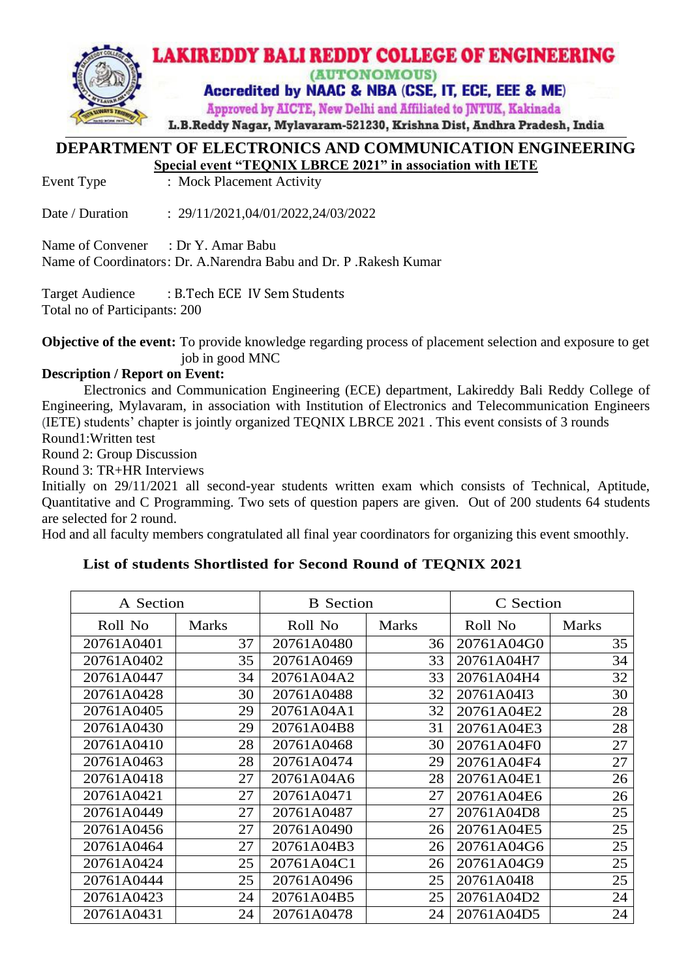

### **DEPARTMENT OF ELECTRONICS AND COMMUNICATION ENGINEERING Special event "TEQNIX LBRCE 2021" in association with IETE**

Event Type : Mock Placement Activity

Date / Duration : 29/11/2021,04/01/2022,24/03/2022

Name of Convener : Dr Y. Amar Babu

Name of Coordinators: Dr. A.Narendra Babu and Dr. P .Rakesh Kumar

Target Audience : B.Tech ECE IV Sem Students Total no of Participants: 200

**Objective of the event:** To provide knowledge regarding process of placement selection and exposure to get job in good MNC

### **Description / Report on Event:**

Electronics and Communication Engineering (ECE) department, Lakireddy Bali Reddy College of Engineering, Mylavaram, in association with Institution of Electronics and Telecommunication Engineers (IETE) students' chapter is jointly organized TEQNIX LBRCE 2021 . This event consists of 3 rounds Round1:Written test

Round 2: Group Discussion

Round 3: TR+HR Interviews

Initially on 29/11/2021 all second-year students written exam which consists of Technical, Aptitude, Quantitative and C Programming. Two sets of question papers are given. Out of 200 students 64 students are selected for 2 round.

Hod and all faculty members congratulated all final year coordinators for organizing this event smoothly.

# **List of students Shortlisted for Second Round of TEQNIX 2021**

| A Section  |              | <b>B</b> Section |              | C Section  |              |
|------------|--------------|------------------|--------------|------------|--------------|
| Roll No    | <b>Marks</b> | Roll No          | <b>Marks</b> | Roll No    | <b>Marks</b> |
| 20761A0401 | 37           | 20761A0480       | 36           | 20761A04G0 | 35           |
| 20761A0402 | 35           | 20761A0469       | 33           | 20761A04H7 | 34           |
| 20761A0447 | 34           | 20761A04A2       | 33           | 20761A04H4 | 32           |
| 20761A0428 | 30           | 20761A0488       | 32           | 20761A04I3 | 30           |
| 20761A0405 | 29           | 20761A04A1       | 32           | 20761A04E2 | 28           |
| 20761A0430 | 29           | 20761A04B8       | 31           | 20761A04E3 | 28           |
| 20761A0410 | 28           | 20761A0468       | 30           | 20761A04F0 | 27           |
| 20761A0463 | 28           | 20761A0474       | 29           | 20761A04F4 | 27           |
| 20761A0418 | 27           | 20761A04A6       | 28           | 20761A04E1 | 26           |
| 20761A0421 | 27           | 20761A0471       | 27           | 20761A04E6 | 26           |
| 20761A0449 | 27           | 20761A0487       | 27           | 20761A04D8 | 25           |
| 20761A0456 | 27           | 20761A0490       | 26           | 20761A04E5 | 25           |
| 20761A0464 | 27           | 20761A04B3       | 26           | 20761A04G6 | 25           |
| 20761A0424 | 25           | 20761A04C1       | 26           | 20761A04G9 | 25           |
| 20761A0444 | 25           | 20761A0496       | 25           | 20761A04I8 | 25           |
| 20761A0423 | 24           | 20761A04B5       | 25           | 20761A04D2 | 24           |
| 20761A0431 | 24           | 20761A0478       | 24           | 20761A04D5 | 24           |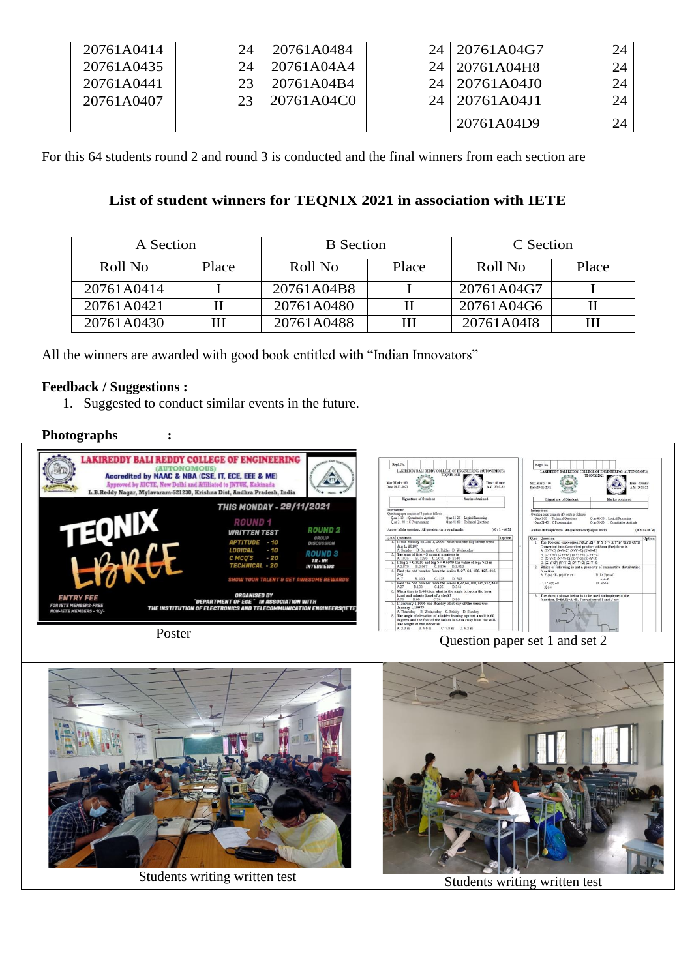| 20761A0414 | 24.             | 20761A0484 | 24 <sub>1</sub> | 20761A04G7 | 24 |
|------------|-----------------|------------|-----------------|------------|----|
| 20761A0435 | 24 <sub>1</sub> | 20761A04A4 | 24              | 20761A04H8 | 24 |
| 20761A0441 |                 | 20761A04B4 | 24 <sub>1</sub> | 20761A04J0 | 24 |
| 20761A0407 | $2^{\circ}$     | 20761A04C0 | 24              | 20761A04J1 | 24 |
|            |                 |            |                 | 20761A04D9 | 24 |

For this 64 students round 2 and round 3 is conducted and the final winners from each section are

# **List of student winners for TEQNIX 2021 in association with IETE**

| A Section  |       | <b>B</b> Section |       | C Section  |       |
|------------|-------|------------------|-------|------------|-------|
| Roll No    | Place | Roll No          | Place | Roll No    | Place |
| 20761A0414 |       | 20761A04B8       |       | 20761A04G7 |       |
| 20761A0421 |       | 20761A0480       |       | 20761A04G6 |       |
| 20761A0430 |       | 20761A0488       |       | 20761A04I8 |       |

All the winners are awarded with good book entitled with "Indian Innovators"

### **Feedback / Suggestions :**

1. Suggested to conduct similar events in the future.

## **Photographs :**